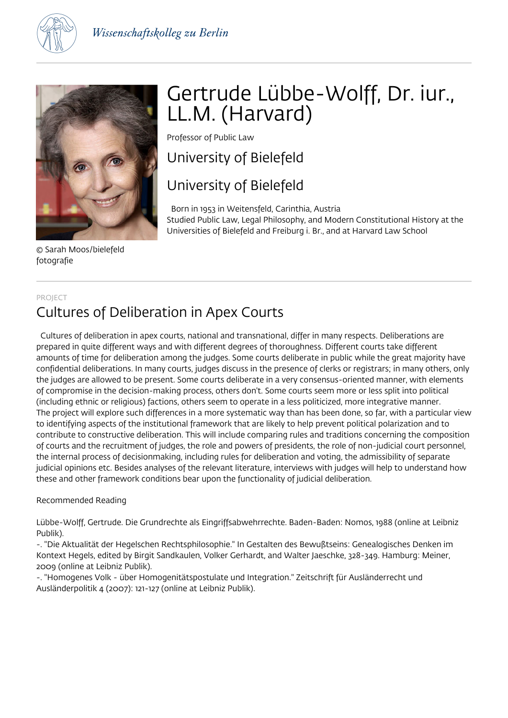



© Sarah Moos/bielefeld fotografie

# Gertrude Lübbe-Wolff, Dr. iur., LL.M. (Harvard)

Professor of Public Law

### University of Bielefeld

### University of Bielefeld

 Born in 1953 in Weitensfeld, Carinthia, Austria Studied Public Law, Legal Philosophy, and Modern Constitutional History at the Universities of Bielefeld and Freiburg i. Br., and at Harvard Law School

#### PROJECT

## Cultures of Deliberation in Apex Courts

 Cultures of deliberation in apex courts, national and transnational, differ in many respects. Deliberations are prepared in quite different ways and with different degrees of thoroughness. Different courts take different amounts of time for deliberation among the judges. Some courts deliberate in public while the great majority have confidential deliberations. In many courts, judges discuss in the presence of clerks or registrars; in many others, only the judges are allowed to be present. Some courts deliberate in a very consensus-oriented manner, with elements of compromise in the decision-making process, others don't. Some courts seem more or less split into political (including ethnic or religious) factions, others seem to operate in a less politicized, more integrative manner. The project will explore such differences in a more systematic way than has been done, so far, with a particular view to identifying aspects of the institutional framework that are likely to help prevent political polarization and to contribute to constructive deliberation. This will include comparing rules and traditions concerning the composition of courts and the recruitment of judges, the role and powers of presidents, the role of non-judicial court personnel, the internal process of decisionmaking, including rules for deliberation and voting, the admissibility of separate judicial opinions etc. Besides analyses of the relevant literature, interviews with judges will help to understand how these and other framework conditions bear upon the functionality of judicial deliberation.

#### Recommended Reading

Lübbe-Wolff, Gertrude. Die Grundrechte als Eingriffsabwehrrechte. Baden-Baden: Nomos, 1988 (online at Leibniz Publik).

-. "Die Aktualität der Hegelschen Rechtsphilosophie." In Gestalten des Bewußtseins: Genealogisches Denken im Kontext Hegels, edited by Birgit Sandkaulen, Volker Gerhardt, and Walter Jaeschke, 328-349. Hamburg: Meiner, 2009 (online at Leibniz Publik).

-. "Homogenes Volk - über Homogenitätspostulate und Integration." Zeitschrift für Ausländerrecht und Ausländerpolitik 4 (2007): 121-127 (online at Leibniz Publik).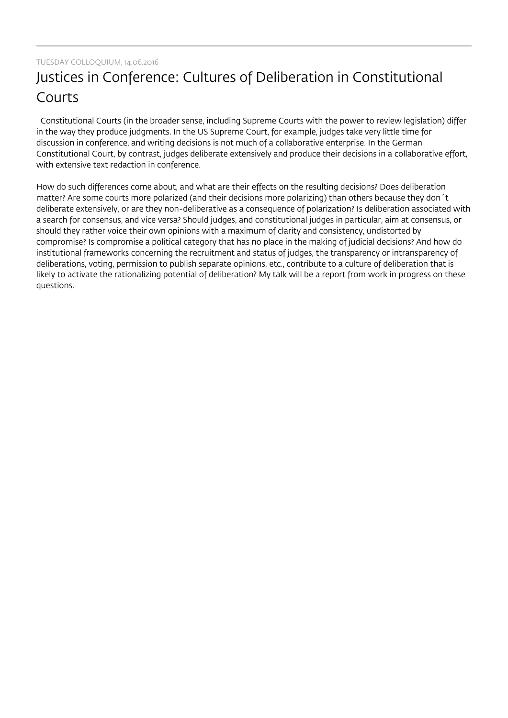## Justices in Conference: Cultures of Deliberation in Constitutional Courts

 Constitutional Courts (in the broader sense, including Supreme Courts with the power to review legislation) differ in the way they produce judgments. In the US Supreme Court, for example, judges take very little time for discussion in conference, and writing decisions is not much of a collaborative enterprise. In the German Constitutional Court, by contrast, judges deliberate extensively and produce their decisions in a collaborative effort, with extensive text redaction in conference.

How do such differences come about, and what are their effects on the resulting decisions? Does deliberation matter? Are some courts more polarized (and their decisions more polarizing) than others because they don´t deliberate extensively, or are they non-deliberative as a consequence of polarization? Is deliberation associated with a search for consensus, and vice versa? Should judges, and constitutional judges in particular, aim at consensus, or should they rather voice their own opinions with a maximum of clarity and consistency, undistorted by compromise? Is compromise a political category that has no place in the making of judicial decisions? And how do institutional frameworks concerning the recruitment and status of judges, the transparency or intransparency of deliberations, voting, permission to publish separate opinions, etc., contribute to a culture of deliberation that is likely to activate the rationalizing potential of deliberation? My talk will be a report from work in progress on these questions.